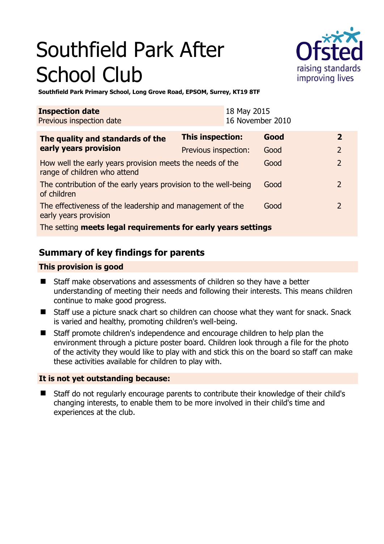# Southfield Park After School Club



**Southfield Park Primary School, Long Grove Road, EPSOM, Surrey, KT19 8TF** 

| <b>Inspection date</b><br>Previous inspection date                                        |                      | 18 May 2015<br>16 November 2010 |      |               |
|-------------------------------------------------------------------------------------------|----------------------|---------------------------------|------|---------------|
| The quality and standards of the<br>early years provision                                 | This inspection:     |                                 | Good | $\mathbf{z}$  |
|                                                                                           | Previous inspection: |                                 | Good |               |
| How well the early years provision meets the needs of the<br>range of children who attend |                      |                                 | Good | $\mathcal{P}$ |
| The contribution of the early years provision to the well-being<br>of children            |                      |                                 | Good |               |
| The effectiveness of the leadership and management of the<br>early years provision        |                      | Good                            |      |               |
| The setting meets legal requirements for early years settings                             |                      |                                 |      |               |

# **Summary of key findings for parents**

#### **This provision is good**

- Staff make observations and assessments of children so they have a better understanding of meeting their needs and following their interests. This means children continue to make good progress.
- Staff use a picture snack chart so children can choose what they want for snack. Snack is varied and healthy, promoting children's well-being.
- Staff promote children's independence and encourage children to help plan the environment through a picture poster board. Children look through a file for the photo of the activity they would like to play with and stick this on the board so staff can make these activities available for children to play with.

#### **It is not yet outstanding because:**

 Staff do not regularly encourage parents to contribute their knowledge of their child's changing interests, to enable them to be more involved in their child's time and experiences at the club.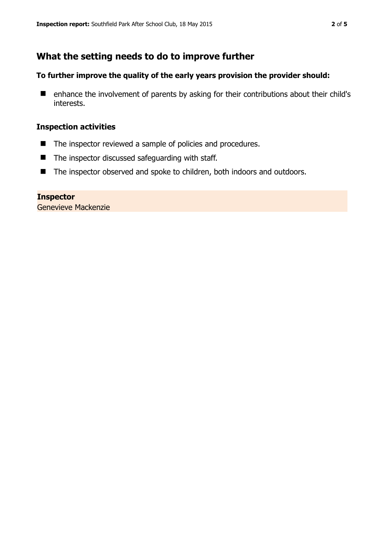## **What the setting needs to do to improve further**

#### **To further improve the quality of the early years provision the provider should:**

■ enhance the involvement of parents by asking for their contributions about their child's interests.

#### **Inspection activities**

- The inspector reviewed a sample of policies and procedures.
- The inspector discussed safeguarding with staff.
- The inspector observed and spoke to children, both indoors and outdoors.

**Inspector**  Genevieve Mackenzie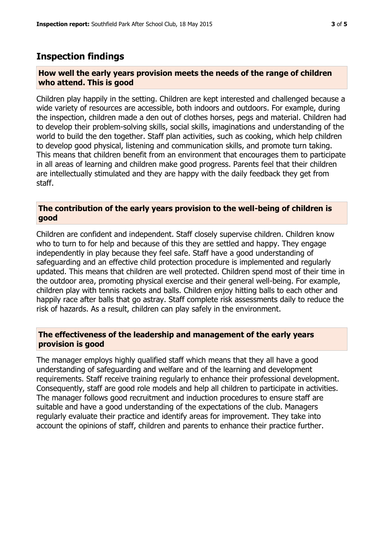### **Inspection findings**

#### **How well the early years provision meets the needs of the range of children who attend. This is good**

Children play happily in the setting. Children are kept interested and challenged because a wide variety of resources are accessible, both indoors and outdoors. For example, during the inspection, children made a den out of clothes horses, pegs and material. Children had to develop their problem-solving skills, social skills, imaginations and understanding of the world to build the den together. Staff plan activities, such as cooking, which help children to develop good physical, listening and communication skills, and promote turn taking. This means that children benefit from an environment that encourages them to participate in all areas of learning and children make good progress. Parents feel that their children are intellectually stimulated and they are happy with the daily feedback they get from staff.

#### **The contribution of the early years provision to the well-being of children is good**

Children are confident and independent. Staff closely supervise children. Children know who to turn to for help and because of this they are settled and happy. They engage independently in play because they feel safe. Staff have a good understanding of safeguarding and an effective child protection procedure is implemented and regularly updated. This means that children are well protected. Children spend most of their time in the outdoor area, promoting physical exercise and their general well-being. For example, children play with tennis rackets and balls. Children enjoy hitting balls to each other and happily race after balls that go astray. Staff complete risk assessments daily to reduce the risk of hazards. As a result, children can play safely in the environment.

#### **The effectiveness of the leadership and management of the early years provision is good**

The manager employs highly qualified staff which means that they all have a good understanding of safeguarding and welfare and of the learning and development requirements. Staff receive training regularly to enhance their professional development. Consequently, staff are good role models and help all children to participate in activities. The manager follows good recruitment and induction procedures to ensure staff are suitable and have a good understanding of the expectations of the club. Managers regularly evaluate their practice and identify areas for improvement. They take into account the opinions of staff, children and parents to enhance their practice further.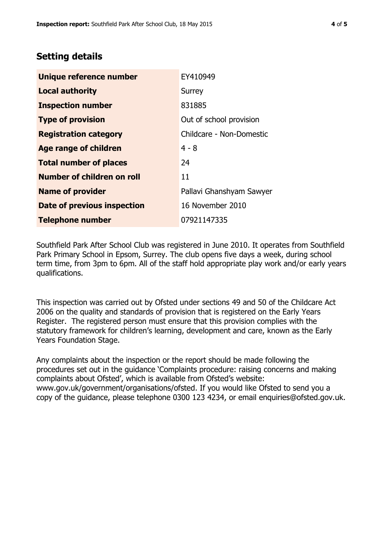# **Setting details**

| Unique reference number       | EY410949                 |  |  |
|-------------------------------|--------------------------|--|--|
| <b>Local authority</b>        | Surrey                   |  |  |
| <b>Inspection number</b>      | 831885                   |  |  |
| <b>Type of provision</b>      | Out of school provision  |  |  |
| <b>Registration category</b>  | Childcare - Non-Domestic |  |  |
| Age range of children         | $4 - 8$                  |  |  |
| <b>Total number of places</b> | 24                       |  |  |
| Number of children on roll    | 11                       |  |  |
| <b>Name of provider</b>       | Pallavi Ghanshyam Sawyer |  |  |
| Date of previous inspection   | 16 November 2010         |  |  |
| <b>Telephone number</b>       | 07921147335              |  |  |

Southfield Park After School Club was registered in June 2010. It operates from Southfield Park Primary School in Epsom, Surrey. The club opens five days a week, during school term time, from 3pm to 6pm. All of the staff hold appropriate play work and/or early years qualifications.

This inspection was carried out by Ofsted under sections 49 and 50 of the Childcare Act 2006 on the quality and standards of provision that is registered on the Early Years Register. The registered person must ensure that this provision complies with the statutory framework for children's learning, development and care, known as the Early Years Foundation Stage.

Any complaints about the inspection or the report should be made following the procedures set out in the guidance 'Complaints procedure: raising concerns and making complaints about Ofsted', which is available from Ofsted's website: www.gov.uk/government/organisations/ofsted. If you would like Ofsted to send you a copy of the guidance, please telephone 0300 123 4234, or email enquiries@ofsted.gov.uk.